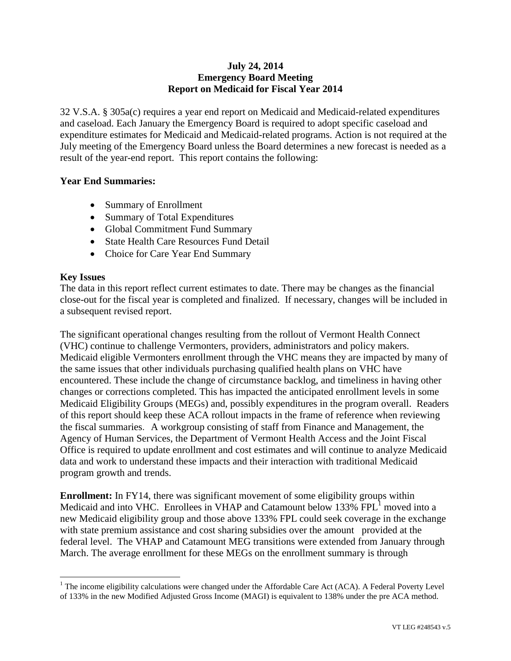### **July 24, 2014 Emergency Board Meeting Report on Medicaid for Fiscal Year 2014**

32 V.S.A. § 305a(c) requires a year end report on Medicaid and Medicaid-related expenditures and caseload. Each January the Emergency Board is required to adopt specific caseload and expenditure estimates for Medicaid and Medicaid-related programs. Action is not required at the July meeting of the Emergency Board unless the Board determines a new forecast is needed as a result of the year-end report. This report contains the following:

#### **Year End Summaries:**

- Summary of Enrollment
- Summary of Total Expenditures
- Global Commitment Fund Summary
- State Health Care Resources Fund Detail
- Choice for Care Year End Summary

#### **Key Issues**

 $\overline{a}$ 

The data in this report reflect current estimates to date. There may be changes as the financial close-out for the fiscal year is completed and finalized. If necessary, changes will be included in a subsequent revised report.

The significant operational changes resulting from the rollout of Vermont Health Connect (VHC) continue to challenge Vermonters, providers, administrators and policy makers. Medicaid eligible Vermonters enrollment through the VHC means they are impacted by many of the same issues that other individuals purchasing qualified health plans on VHC have encountered. These include the change of circumstance backlog, and timeliness in having other changes or corrections completed. This has impacted the anticipated enrollment levels in some Medicaid Eligibility Groups (MEGs) and, possibly expenditures in the program overall. Readers of this report should keep these ACA rollout impacts in the frame of reference when reviewing the fiscal summaries. A workgroup consisting of staff from Finance and Management, the Agency of Human Services, the Department of Vermont Health Access and the Joint Fiscal Office is required to update enrollment and cost estimates and will continue to analyze Medicaid data and work to understand these impacts and their interaction with traditional Medicaid program growth and trends.

**Enrollment:** In FY14, there was significant movement of some eligibility groups within Medicaid and into VHC. Enrollees in VHAP and Catamount below 133%  $FPL<sup>1</sup>$  moved into a new Medicaid eligibility group and those above 133% FPL could seek coverage in the exchange with state premium assistance and cost sharing subsidies over the amount provided at the federal level. The VHAP and Catamount MEG transitions were extended from January through March. The average enrollment for these MEGs on the enrollment summary is through

<sup>&</sup>lt;sup>1</sup> The income eligibility calculations were changed under the Affordable Care Act (ACA). A Federal Poverty Level of 133% in the new Modified Adjusted Gross Income (MAGI) is equivalent to 138% under the pre ACA method.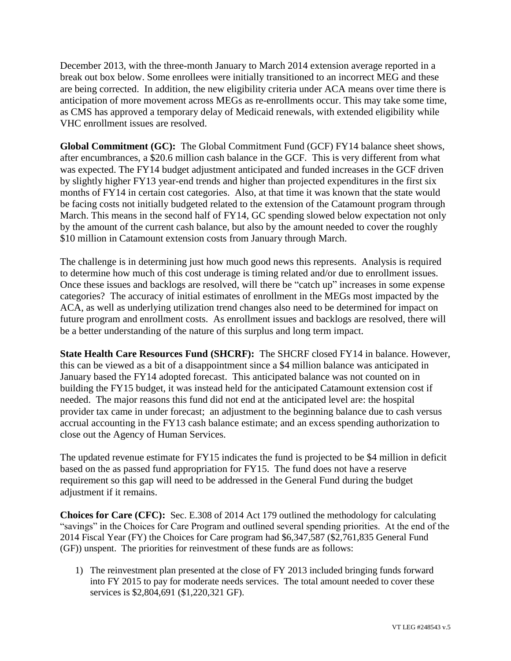December 2013, with the three-month January to March 2014 extension average reported in a break out box below. Some enrollees were initially transitioned to an incorrect MEG and these are being corrected. In addition, the new eligibility criteria under ACA means over time there is anticipation of more movement across MEGs as re-enrollments occur. This may take some time, as CMS has approved a temporary delay of Medicaid renewals, with extended eligibility while VHC enrollment issues are resolved.

**Global Commitment (GC):** The Global Commitment Fund (GCF) FY14 balance sheet shows, after encumbrances, a \$20.6 million cash balance in the GCF. This is very different from what was expected. The FY14 budget adjustment anticipated and funded increases in the GCF driven by slightly higher FY13 year-end trends and higher than projected expenditures in the first six months of FY14 in certain cost categories. Also, at that time it was known that the state would be facing costs not initially budgeted related to the extension of the Catamount program through March. This means in the second half of FY14, GC spending slowed below expectation not only by the amount of the current cash balance, but also by the amount needed to cover the roughly \$10 million in Catamount extension costs from January through March.

The challenge is in determining just how much good news this represents. Analysis is required to determine how much of this cost underage is timing related and/or due to enrollment issues. Once these issues and backlogs are resolved, will there be "catch up" increases in some expense categories? The accuracy of initial estimates of enrollment in the MEGs most impacted by the ACA, as well as underlying utilization trend changes also need to be determined for impact on future program and enrollment costs. As enrollment issues and backlogs are resolved, there will be a better understanding of the nature of this surplus and long term impact.

**State Health Care Resources Fund (SHCRF):** The SHCRF closed FY14 in balance. However, this can be viewed as a bit of a disappointment since a \$4 million balance was anticipated in January based the FY14 adopted forecast. This anticipated balance was not counted on in building the FY15 budget, it was instead held for the anticipated Catamount extension cost if needed. The major reasons this fund did not end at the anticipated level are: the hospital provider tax came in under forecast; an adjustment to the beginning balance due to cash versus accrual accounting in the FY13 cash balance estimate; and an excess spending authorization to close out the Agency of Human Services.

The updated revenue estimate for FY15 indicates the fund is projected to be \$4 million in deficit based on the as passed fund appropriation for FY15. The fund does not have a reserve requirement so this gap will need to be addressed in the General Fund during the budget adjustment if it remains.

**Choices for Care (CFC):** Sec. E.308 of 2014 Act 179 outlined the methodology for calculating "savings" in the Choices for Care Program and outlined several spending priorities. At the end of the 2014 Fiscal Year (FY) the Choices for Care program had \$6,347,587 (\$2,761,835 General Fund (GF)) unspent. The priorities for reinvestment of these funds are as follows:

1) The reinvestment plan presented at the close of FY 2013 included bringing funds forward into FY 2015 to pay for moderate needs services. The total amount needed to cover these services is \$2,804,691 (\$1,220,321 GF).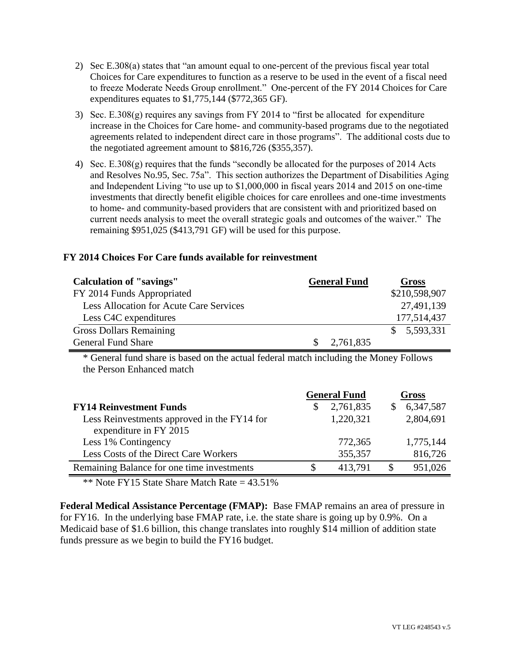- 2) Sec E.308(a) states that "an amount equal to one-percent of the previous fiscal year total Choices for Care expenditures to function as a reserve to be used in the event of a fiscal need to freeze Moderate Needs Group enrollment." One-percent of the FY 2014 Choices for Care expenditures equates to \$1,775,144 (\$772,365 GF).
- 3) Sec. E.308(g) requires any savings from FY 2014 to "first be allocated for expenditure increase in the Choices for Care home- and community-based programs due to the negotiated agreements related to independent direct care in those programs". The additional costs due to the negotiated agreement amount to \$816,726 (\$355,357).
- 4) Sec. E.308(g) requires that the funds "secondly be allocated for the purposes of 2014 Acts and Resolves No.95, Sec. 75a". This section authorizes the Department of Disabilities Aging and Independent Living "to use up to \$1,000,000 in fiscal years 2014 and 2015 on one-time investments that directly benefit eligible choices for care enrollees and one-time investments to home- and community-based providers that are consistent with and prioritized based on current needs analysis to meet the overall strategic goals and outcomes of the waiver." The remaining \$951,025 (\$413,791 GF) will be used for this purpose.

#### **FY 2014 Choices For Care funds available for reinvestment**

| <b>Calculation of "savings"</b>         |     | <b>General Fund</b> | <b>Gross</b>  |
|-----------------------------------------|-----|---------------------|---------------|
| FY 2014 Funds Appropriated              |     |                     | \$210,598,907 |
| Less Allocation for Acute Care Services |     |                     | 27,491,139    |
| Less C4C expenditures                   |     |                     | 177,514,437   |
| <b>Gross Dollars Remaining</b>          |     |                     | \$5,593,331   |
| <b>General Fund Share</b>               | SS. | 2,761,835           |               |

\* General fund share is based on the actual federal match including the Money Follows the Person Enhanced match

|                                             | <b>General Fund</b> |           |  | Gross     |  |  |
|---------------------------------------------|---------------------|-----------|--|-----------|--|--|
| <b>FY14 Reinvestment Funds</b>              |                     | 2,761,835 |  | 6,347,587 |  |  |
| Less Reinvestments approved in the FY14 for |                     | 1,220,321 |  | 2,804,691 |  |  |
| expenditure in FY 2015                      |                     |           |  |           |  |  |
| Less 1% Contingency                         |                     | 772,365   |  | 1,775,144 |  |  |
| Less Costs of the Direct Care Workers       |                     | 355,357   |  | 816,726   |  |  |
| Remaining Balance for one time investments  |                     | 413.791   |  | 951,026   |  |  |

\*\* Note FY15 State Share Match Rate  $= 43.51\%$ 

**Federal Medical Assistance Percentage (FMAP):** Base FMAP remains an area of pressure in for FY16. In the underlying base FMAP rate, i.e. the state share is going up by 0.9%. On a Medicaid base of \$1.6 billion, this change translates into roughly \$14 million of addition state funds pressure as we begin to build the FY16 budget.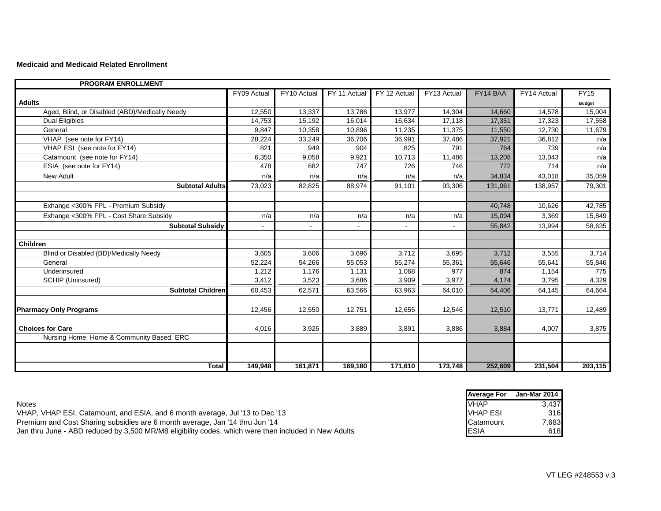#### **Medicaid and Medicaid Related Enrollment**

| <b>PROGRAM ENROLLMENT</b>                      |             |             |              |              |             |          |             |               |
|------------------------------------------------|-------------|-------------|--------------|--------------|-------------|----------|-------------|---------------|
|                                                | FY09 Actual | FY10 Actual | FY 11 Actual | FY 12 Actual | FY13 Actual | FY14 BAA | FY14 Actual | <b>FY15</b>   |
| <b>Adults</b>                                  |             |             |              |              |             |          |             | <b>Budget</b> |
| Aged, Blind, or Disabled (ABD)/Medically Needy | 12,550      | 13,337      | 13,786       | 13,977       | 14,304      | 14,660   | 14,578      | 15,004        |
| <b>Dual Eligibles</b>                          | 14,753      | 15,192      | 16,014       | 16,634       | 17,118      | 17,351   | 17,323      | 17,558        |
| General                                        | 9,847       | 10,358      | 10,896       | 11,235       | 11,375      | 11,550   | 12,730      | 11,679        |
| VHAP (see note for FY14)                       | 28,224      | 33,249      | 36,706       | 36,991       | 37,486      | 37,921   | 36,812      | n/a           |
| VHAP ESI (see note for FY14)                   | 821         | 949         | 904          | 825          | 791         | 764      | 739         | n/a           |
| Catamount (see note for FY14)                  | 6,350       | 9,058       | 9,921        | 10,713       | 11,486      | 13,208   | 13,043      | n/a           |
| ESIA (see note for FY14)                       | 478         | 682         | 747          | 726          | 746         | 772      | 714         | n/a           |
| <b>New Adult</b>                               | n/a         | n/a         | n/a          | n/a          | n/a         | 34,834   | 43,018      | 35,059        |
| <b>Subtotal Adults</b>                         | 73,023      | 82,825      | 88,974       | 91,101       | 93,306      | 131,061  | 138,957     | 79,301        |
|                                                |             |             |              |              |             |          |             |               |
| Exhange <300% FPL - Premium Subsidy            |             |             |              |              |             | 40,748   | 10,626      | 42,785        |
| Exhange <300% FPL - Cost Share Subsidy         | n/a         | n/a         | n/a          | n/a          | n/a         | 15,094   | 3,369       | 15,849        |
| <b>Subtotal Subsidy</b>                        |             |             |              |              |             | 55,842   | 13,994      | 58,635        |
|                                                |             |             |              |              |             |          |             |               |
| <b>Children</b>                                |             |             |              |              |             |          |             |               |
| Blind or Disabled (BD)/Medically Needy         | 3,605       | 3,606       | 3,696        | 3,712        | 3,695       | 3,712    | 3,555       | 3,714         |
| General                                        | 52,224      | 54,266      | 55,053       | 55,274       | 55,361      | 55,646   | 55,641      | 55,846        |
| Underinsured                                   | 1,212       | 1,176       | 1,131        | 1,068        | 977         | 874      | 1,154       | 775           |
| SCHIP (Uninsured)                              | 3,412       | 3,523       | 3,686        | 3,909        | 3,977       | 4,174    | 3,795       | 4,329         |
| <b>Subtotal Children</b>                       | 60,453      | 62,571      | 63,566       | 63,963       | 64,010      | 64,406   | 64,145      | 64,664        |
|                                                |             |             |              |              |             |          |             |               |
| <b>Pharmacy Only Programs</b>                  | 12,456      | 12,550      | 12,751       | 12,655       | 12,546      | 12,510   | 13,771      | 12,489        |
|                                                |             |             |              |              |             |          |             |               |
| <b>Choices for Care</b>                        | 4,016       | 3,925       | 3,889        | 3,891        | 3,886       | 3,884    | 4,007       | 3,875         |
| Nursing Home, Home & Community Based, ERC      |             |             |              |              |             |          |             |               |
|                                                |             |             |              |              |             |          |             |               |
|                                                |             |             |              |              |             |          |             |               |
| <b>Total</b>                                   | 149,948     | 161,871     | 169,180      | 171,610      | 173,748     | 252,609  | 231,504     | 203,115       |

|                                                                                                      | <b>Average For</b> | Jan-Mar 2014 |
|------------------------------------------------------------------------------------------------------|--------------------|--------------|
| <b>Notes</b>                                                                                         | <b>VHAP</b>        | 3.437        |
| VHAP, VHAP ESI, Catamount, and ESIA, and 6 month average, Jul '13 to Dec '13                         | VHAP ESI           | 316          |
| Premium and Cost Sharing subsidies are 6 month average, Jan '14 thru Jun '14                         | <b>Catamount</b>   | 7,683        |
| Jan thru June - ABD reduced by 3,500 MR/M8 eligibility codes, which were then included in New Adults | <b>IESIA</b>       | 618          |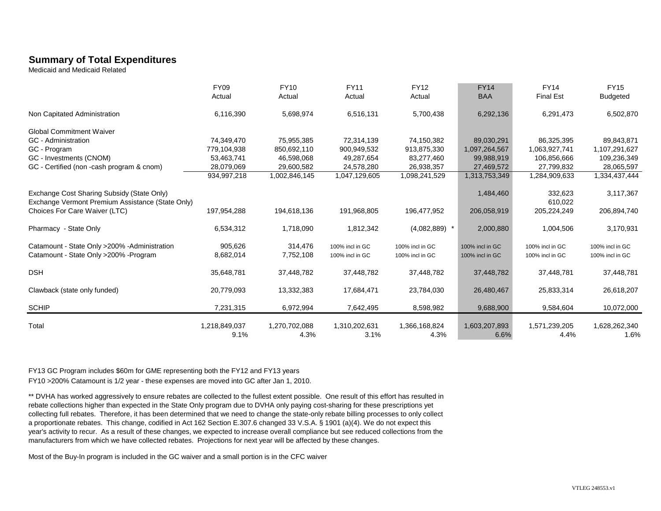## **Summary of Total Expenditures**

Medicaid and Medicaid Related

|                                                                                                | <b>FY09</b><br>Actual | <b>FY10</b><br>Actual | <b>FY11</b><br>Actual              | <b>FY12</b><br>Actual              | <b>FY14</b><br><b>BAA</b>          | <b>FY14</b><br><b>Final Est</b>    | <b>FY15</b><br><b>Budgeted</b>     |
|------------------------------------------------------------------------------------------------|-----------------------|-----------------------|------------------------------------|------------------------------------|------------------------------------|------------------------------------|------------------------------------|
| Non Capitated Administration                                                                   | 6,116,390             | 5,698,974             | 6,516,131                          | 5,700,438                          | 6,292,136                          | 6,291,473                          | 6,502,870                          |
| <b>Global Commitment Waiver</b>                                                                |                       |                       |                                    |                                    |                                    |                                    |                                    |
| <b>GC</b> - Administration                                                                     | 74,349,470            | 75,955,385            | 72,314,139                         | 74,150,382                         | 89,030,291                         | 86,325,395                         | 89,843,871                         |
| GC - Program                                                                                   | 779,104,938           | 850,692,110           | 900,949,532                        | 913,875,330                        | 1,097,264,567                      | 1,063,927,741                      | 1,107,291,627                      |
| GC - Investments (CNOM)                                                                        | 53,463,741            | 46,598,068            | 49,287,654                         | 83,277,460                         | 99,988,919                         | 106,856,666                        | 109,236,349                        |
| GC - Certified (non -cash program & cnom)                                                      | 28,079,069            | 29,600,582            | 24,578,280                         | 26,938,357                         | 27,469,572                         | 27,799,832                         | 28,065,597                         |
|                                                                                                | 934,997,218           | 1,002,846,145         | 1,047,129,605                      | 1,098,241,529                      | 1,313,753,349                      | 1,284,909,633                      | 1,334,437,444                      |
| Exchange Cost Sharing Subsidy (State Only)<br>Exchange Vermont Premium Assistance (State Only) |                       |                       |                                    |                                    | 1,484,460                          | 332,623<br>610,022                 | 3,117,367                          |
| Choices For Care Waiver (LTC)                                                                  | 197,954,288           | 194,618,136           | 191,968,805                        | 196,477,952                        | 206,058,919                        | 205,224,249                        | 206,894,740                        |
| Pharmacy - State Only                                                                          | 6,534,312             | 1,718,090             | 1,812,342                          | $(4,082,889)$ *                    | 2,000,880                          | 1,004,506                          | 3,170,931                          |
| Catamount - State Only > 200% - Administration<br>Catamount - State Only > 200% - Program      | 905,626<br>8,682,014  | 314,476<br>7,752,108  | 100% incl in GC<br>100% incl in GC | 100% incl in GC<br>100% incl in GC | 100% incl in GC<br>100% incl in GC | 100% incl in GC<br>100% incl in GC | 100% incl in GC<br>100% incl in GC |
| <b>DSH</b>                                                                                     | 35,648,781            | 37,448,782            | 37,448,782                         | 37,448,782                         | 37,448,782                         | 37,448,781                         | 37,448,781                         |
| Clawback (state only funded)                                                                   | 20,779,093            | 13,332,383            | 17,684,471                         | 23,784,030                         | 26,480,467                         | 25,833,314                         | 26,618,207                         |
| <b>SCHIP</b>                                                                                   | 7,231,315             | 6,972,994             | 7,642,495                          | 8,598,982                          | 9,688,900                          | 9,584,604                          | 10,072,000                         |
| Total                                                                                          | 1,218,849,037<br>9.1% | 1,270,702,088<br>4.3% | 1,310,202,631<br>3.1%              | 1,366,168,824<br>4.3%              | 1,603,207,893<br>6.6%              | 1,571,239,205<br>4.4%              | 1,628,262,340<br>1.6%              |

FY13 GC Program includes \$60m for GME representing both the FY12 and FY13 years FY10 >200% Catamount is 1/2 year - these expenses are moved into GC after Jan 1, 2010.

\*\* DVHA has worked aggressively to ensure rebates are collected to the fullest extent possible. One result of this effort has resulted in rebate collections higher than expected in the State Only program due to DVHA only paying cost-sharing for these prescriptions yet collecting full rebates. Therefore, it has been determined that we need to change the state-only rebate billing processes to only collect a proportionate rebates. This change, codified in Act 162 Section E.307.6 changed 33 V.S.A. § 1901 (a)(4). We do not expect this year's activity to recur. As a result of these changes, we expected to increase overall compliance but see reduced collections from the manufacturers from which we have collected rebates. Projections for next year will be affected by these changes.

Most of the Buy-In program is included in the GC waiver and a small portion is in the CFC waiver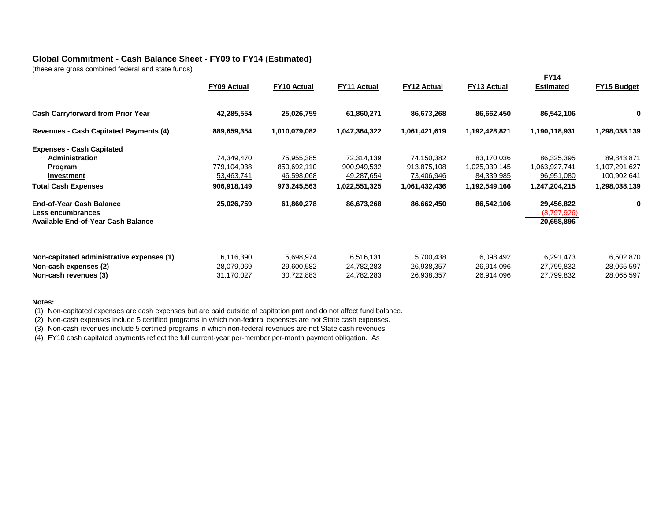### **Global Commitment - Cash Balance Sheet - FY09 to FY14 (Estimated)**

(these are gross combined federal and state funds)

|                                                                                             | <b>FY09 Actual</b>                    | FY10 Actual                           | <b>FY11 Actual</b>                    | <b>FY12 Actual</b>                    | <b>FY13 Actual</b>                    | <b>FY14</b><br><b>Estimated</b>         | FY15 Budget                           |
|---------------------------------------------------------------------------------------------|---------------------------------------|---------------------------------------|---------------------------------------|---------------------------------------|---------------------------------------|-----------------------------------------|---------------------------------------|
| <b>Cash Carryforward from Prior Year</b>                                                    | 42,285,554                            | 25,026,759                            | 61,860,271                            | 86,673,268                            | 86,662,450                            | 86,542,106                              | 0                                     |
| <b>Revenues - Cash Capitated Payments (4)</b>                                               | 889,659,354                           | 1,010,079,082                         | 1,047,364,322                         | 1,061,421,619                         | 1,192,428,821                         | 1,190,118,931                           | 1,298,038,139                         |
| <b>Expenses - Cash Capitated</b>                                                            |                                       |                                       |                                       |                                       |                                       |                                         |                                       |
| Administration                                                                              | 74,349,470                            | 75,955,385                            | 72,314,139                            | 74,150,382                            | 83,170,036                            | 86,325,395                              | 89,843,871                            |
| Program                                                                                     | 779,104,938                           | 850,692,110                           | 900,949,532                           | 913,875,108                           | 1,025,039,145                         | 1,063,927,741                           | 1,107,291,627                         |
| <b>Investment</b>                                                                           | 53,463,741                            | 46,598,068                            | 49,287,654                            | 73,406,946                            | 84,339,985                            | 96,951,080                              | 100,902,641                           |
| <b>Total Cash Expenses</b>                                                                  | 906,918,149                           | 973,245,563                           | 1,022,551,325                         | 1,061,432,436                         | 1,192,549,166                         | 1,247,204,215                           | 1,298,038,139                         |
| <b>End-of-Year Cash Balance</b><br>Less encumbrances<br>Available End-of-Year Cash Balance  | 25,026,759                            | 61,860,278                            | 86,673,268                            | 86,662,450                            | 86,542,106                            | 29,456,822<br>(8,797,926)<br>20,658,896 | 0                                     |
| Non-capitated administrative expenses (1)<br>Non-cash expenses (2)<br>Non-cash revenues (3) | 6,116,390<br>28,079,069<br>31,170,027 | 5,698,974<br>29,600,582<br>30,722,883 | 6,516,131<br>24,782,283<br>24,782,283 | 5,700,438<br>26,938,357<br>26,938,357 | 6,098,492<br>26,914,096<br>26,914,096 | 6,291,473<br>27,799,832<br>27,799,832   | 6,502,870<br>28,065,597<br>28,065,597 |

#### **Notes:**

(1) Non-capitated expenses are cash expenses but are paid outside of capitation pmt and do not affect fund balance.

(2) Non-cash expenses include 5 certified programs in which non-federal expenses are not State cash expenses.

(3) Non-cash revenues include 5 certified programs in which non-federal revenues are not State cash revenues.

(4) FY10 cash capitated payments reflect the full current-year per-member per-month payment obligation. As